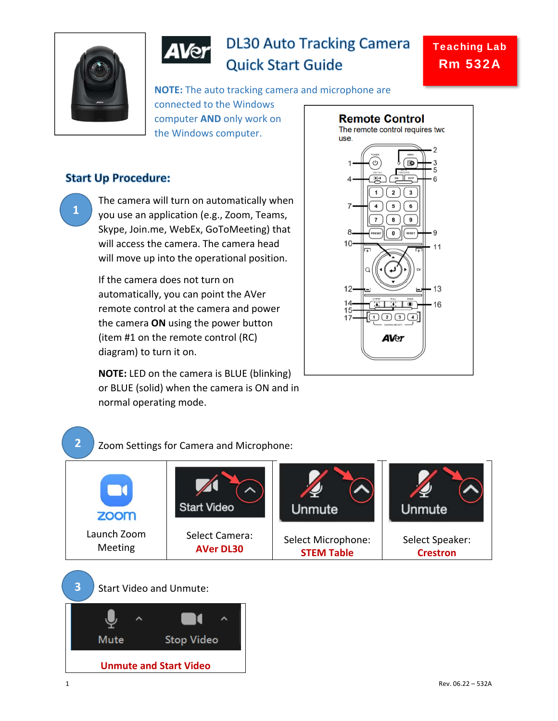

**1** 

**2** 



# **DL30 Auto Tracking Camera Quick Start Guide**

**NOTE:** The auto tracking camera and microphone are connected to the Windows computer **AND** only work on the Windows computer.

## **Start Up Procedure:**

The camera will turn on automatically when you use an application (e.g., Zoom, Teams, Skype, Join.me, WebEx, GoToMeeting) that will access the camera. The camera head will move up into the operational position.

If the camera does not turn on automatically, you can point the AVer remote control at the camera and power the camera **ON** using the power button (item #1 on the remote control (RC) diagram) to turn it on.

**NOTE:** LED on the camera is BLUE (blinking) or BLUE (solid) when the camera is ON and in normal operating mode.

Zoom Settings for Camera and Microphone:



## **Start Video** Unmute Jnmute zoom Launch Zoom Select Camera: Select Speaker:

Meeting **AVer DL30** Select Microphone: **STEM Table**





**Crestron**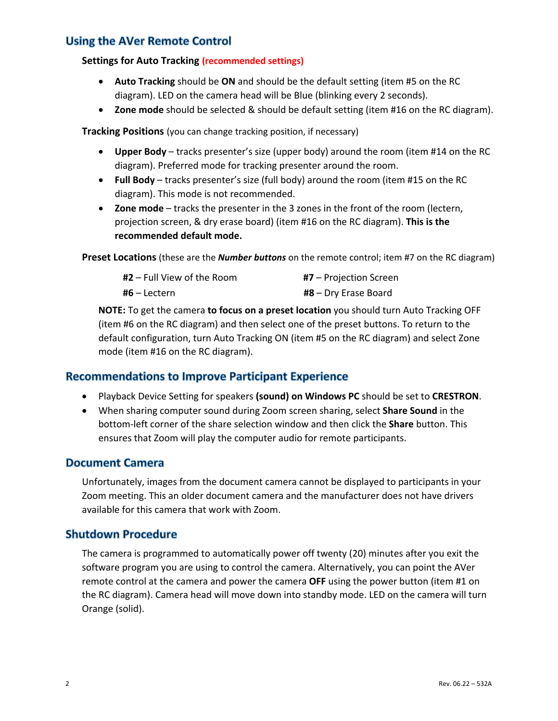## **Using the AVer Remote Control**

#### **Settings for Auto Tracking (recommended settings)**

- **Auto Tracking** should be **ON** and should be the default setting (item #5 on the RC diagram). LED on the camera head will be Blue (blinking every 2 seconds).
- **Zone mode** should be selected & should be default setting (item #16 on the RC diagram).

**Tracking Positions** (you can change tracking position, if necessary)

- **Upper Body** tracks presenter's size (upper body) around the room (item #14 on the RC diagram). Preferred mode for tracking presenter around the room.
- **Full Body** tracks presenter's size (full body) around the room (item #15 on the RC diagram). This mode is not recommended.
- **Zone mode** tracks the presenter in the 3 zones in the front of the room (lectern, projection screen, & dry erase board) (item #16 on the RC diagram). **This is the recommended default mode.**

**Preset Locations** (these are the *Number buttons* on the remote control; item #7 on the RC diagram)

| <b>#2</b> – Full View of the Room | $#7$ – Projection Screen |
|-----------------------------------|--------------------------|
| <b>#6 –</b> Lectern               | $#8 - Dry$ Erase Board   |

**NOTE:** To get the camera **to focus on a preset location** you should turn Auto Tracking OFF (item #6 on the RC diagram) and then select one of the preset buttons. To return to the default configuration, turn Auto Tracking ON (item #5 on the RC diagram) and select Zone mode (item #16 on the RC diagram).

#### **Recommendations to Improve Participant Experience**

- Playback Device Setting for speakers **(sound) on Windows PC** should be set to **CRESTRON**.
- When sharing computer sound during Zoom screen sharing, select **Share Sound** in the bottom‐left corner of the share selection window and then click the **Share** button. This ensures that Zoom will play the computer audio for remote participants.

#### **Document Camera**

Unfortunately, images from the document camera cannot be displayed to participants in your Zoom meeting. This an older document camera and the manufacturer does not have drivers available for this camera that work with Zoom.

#### **Shutdown Procedure**

The camera is programmed to automatically power off twenty (20) minutes after you exit the software program you are using to control the camera. Alternatively, you can point the AVer remote control at the camera and power the camera **OFF** using the power button (item #1 on the RC diagram). Camera head will move down into standby mode. LED on the camera will turn Orange (solid).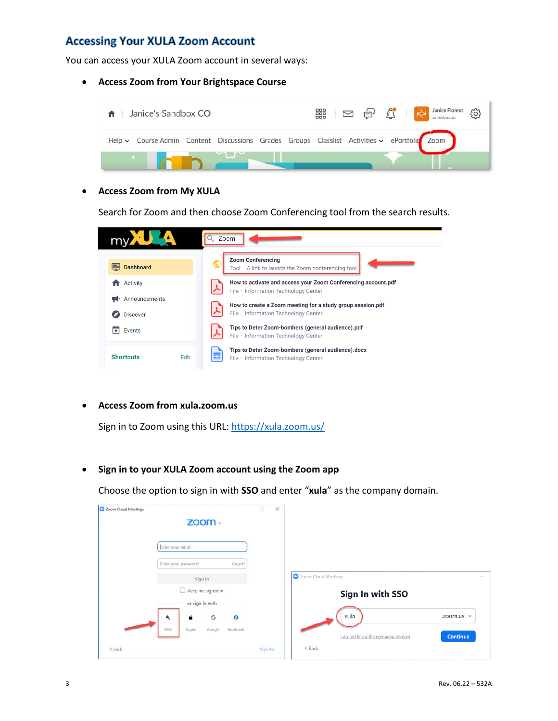## **Accessing Your XULA Zoom Account**

You can access your XULA Zoom account in several ways:

#### **Access Zoom from Your Brightspace Course**



**Access Zoom from My XULA** 

Search for Zoom and then choose Zoom Conferencing tool from the search results.

|                  | Zoom                                                                                                  |
|------------------|-------------------------------------------------------------------------------------------------------|
| <b>Dashboard</b> | <b>Zoom Conferencing</b>                                                                              |
| ⊞                | Tool · A link to launch the Zoom conferencing tool.                                                   |
| Activity         | How to activate and access your Zoom Conferencing account.pdf<br>File · Information Technology Center |
| Announcements    | How to create a Zoom meeting for a study group session.pdf                                            |
| <b>Discover</b>  | File · Information Technology Center                                                                  |
| Events           | Tips to Deter Zoom-bombers (general audience).pdf                                                     |
| ∓                | File · Information Technology Center                                                                  |
| <b>Shortcuts</b> | Tips to Deter Zoom-bombers (general audience).docx                                                    |
| Edit             | File · Information Technology Center                                                                  |

**Access Zoom from xula.zoom.us** 

Sign in to Zoom using this URL: https://xula.zoom.us/

**Sign in to your XULA Zoom account using the Zoom app** 

Choose the option to sign in with **SSO** and enter "**xula**" as the company domain.

|                                    | $\times$<br>$\Box$ |                                                     |
|------------------------------------|--------------------|-----------------------------------------------------|
| $ZOOM \cdot$                       |                    |                                                     |
| Enter your email                   |                    |                                                     |
| Enter your password<br>Forgot?     |                    |                                                     |
| Sign In                            |                    | Zoom Cloud Meetings                                 |
| $\Box$ Keep me signed in           |                    | Sign In with SSO                                    |
| or sign in with                    |                    |                                                     |
| G<br>۹<br>á<br>⊖                   |                    | xula<br>.zoom.us $\vee$                             |
| SSO<br>Facebook<br>Apple<br>Google |                    | <b>Continue</b><br>I do not know the company domain |
|                                    | Sign Up            | $\langle$ Back                                      |
|                                    |                    |                                                     |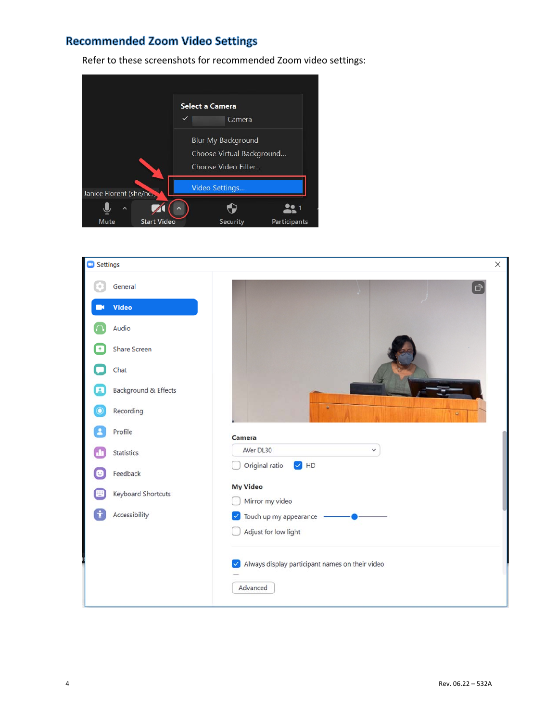## **Recommended Zoom Video Settings**

Refer to these screenshots for recommended Zoom video settings:



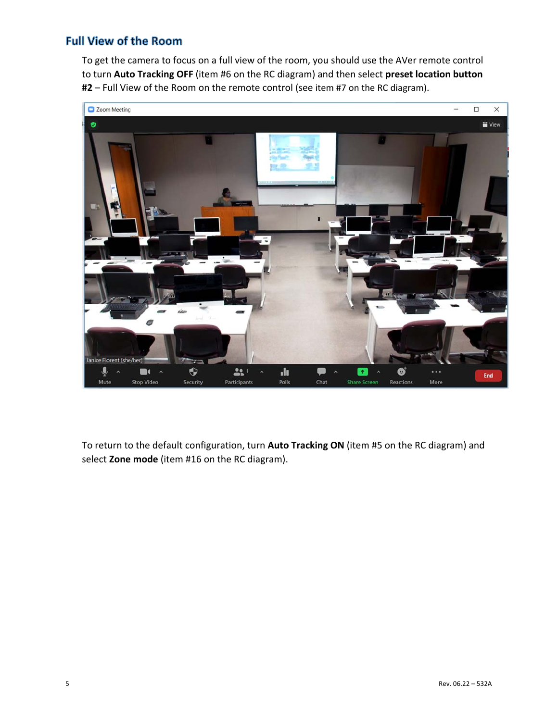## **Full View of the Room**

To get the camera to focus on a full view of the room, you should use the AVer remote control to turn **Auto Tracking OFF** (item #6 on the RC diagram) and then select **preset location button #2** – Full View of the Room on the remote control (see item #7 on the RC diagram).



To return to the default configuration, turn **Auto Tracking ON** (item #5 on the RC diagram) and select **Zone mode** (item #16 on the RC diagram).